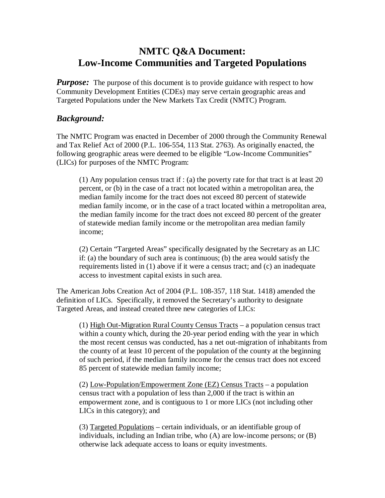# **NMTC Q&A Document: Low-Income Communities and Targeted Populations**

*Purpose:* The purpose of this document is to provide guidance with respect to how Community Development Entities (CDEs) may serve certain geographic areas and Targeted Populations under the New Markets Tax Credit (NMTC) Program.

## *Background:*

The NMTC Program was enacted in December of 2000 through the Community Renewal and Tax Relief Act of 2000 (P.L. 106-554, 113 Stat. 2763). As originally enacted, the following geographic areas were deemed to be eligible "Low-Income Communities" (LICs) for purposes of the NMTC Program:

(1) Any population census tract if : (a) the poverty rate for that tract is at least 20 percent, or (b) in the case of a tract not located within a metropolitan area, the median family income for the tract does not exceed 80 percent of statewide median family income, or in the case of a tract located within a metropolitan area, the median family income for the tract does not exceed 80 percent of the greater of statewide median family income or the metropolitan area median family income;

(2) Certain "Targeted Areas" specifically designated by the Secretary as an LIC if: (a) the boundary of such area is continuous; (b) the area would satisfy the requirements listed in (1) above if it were a census tract; and (c) an inadequate access to investment capital exists in such area.

The American Jobs Creation Act of 2004 (P.L. 108-357, 118 Stat. 1418) amended the definition of LICs. Specifically, it removed the Secretary's authority to designate Targeted Areas, and instead created three new categories of LICs:

(1) High Out-Migration Rural County Census Tracts – a population census tract within a county which, during the 20-year period ending with the year in which the most recent census was conducted, has a net out-migration of inhabitants from the county of at least 10 percent of the population of the county at the beginning of such period, if the median family income for the census tract does not exceed 85 percent of statewide median family income;

(2) Low-Population/Empowerment Zone (EZ) Census Tracts – a population census tract with a population of less than 2,000 if the tract is within an empowerment zone, and is contiguous to 1 or more LICs (not including other LICs in this category); and

(3) Targeted Populations – certain individuals, or an identifiable group of individuals, including an Indian tribe, who (A) are low-income persons; or (B) otherwise lack adequate access to loans or equity investments.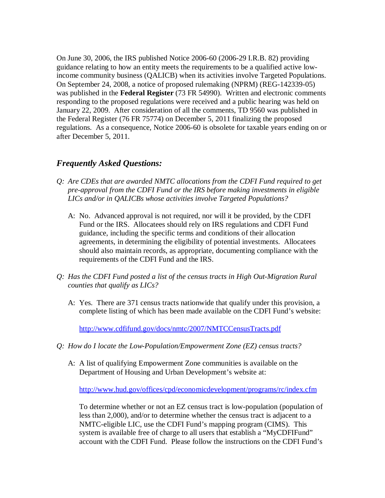On June 30, 2006, the IRS published Notice 2006-60 (2006-29 I.R.B. 82) providing guidance relating to how an entity meets the requirements to be a qualified active lowincome community business (QALICB) when its activities involve Targeted Populations. On September 24, 2008, a notice of proposed rulemaking (NPRM) (REG-142339-05) was published in the **Federal Register** (73 FR 54990). Written and electronic comments responding to the proposed regulations were received and a public hearing was held on January 22, 2009. After consideration of all the comments, TD 9560 was published in the Federal Register (76 FR 75774) on December 5, 2011 finalizing the proposed regulations. As a consequence, Notice 2006-60 is obsolete for taxable years ending on or after December 5, 2011.

## *Frequently Asked Questions:*

- *Q: Are CDEs that are awarded NMTC allocations from the CDFI Fund required to get pre-approval from the CDFI Fund or the IRS before making investments in eligible LICs and/or in QALICBs whose activities involve Targeted Populations?* 
	- A: No. Advanced approval is not required, nor will it be provided, by the CDFI Fund or the IRS. Allocatees should rely on IRS regulations and CDFI Fund guidance, including the specific terms and conditions of their allocation agreements, in determining the eligibility of potential investments. Allocatees should also maintain records, as appropriate, documenting compliance with the requirements of the CDFI Fund and the IRS.
- *Q: Has the CDFI Fund posted a list of the census tracts in High Out-Migration Rural counties that qualify as LICs?* 
	- A: Yes. There are 371 census tracts nationwide that qualify under this provision, a complete listing of which has been made available on the CDFI Fund's website:

<http://www.cdfifund.gov/docs/nmtc/2007/NMTCCensusTracts.pdf>

- *Q: How do I locate the Low-Population/Empowerment Zone (EZ) census tracts?* 
	- A: A list of qualifying Empowerment Zone communities is available on the Department of Housing and Urban Development's website at:

<http://www.hud.gov/offices/cpd/economicdevelopment/programs/rc/index.cfm>

To determine whether or not an EZ census tract is low-population (population of less than 2,000), and/or to determine whether the census tract is adjacent to a NMTC-eligible LIC, use the CDFI Fund's mapping program (CIMS). This system is available free of charge to all users that establish a "MyCDFIFund" account with the CDFI Fund. Please follow the instructions on the CDFI Fund's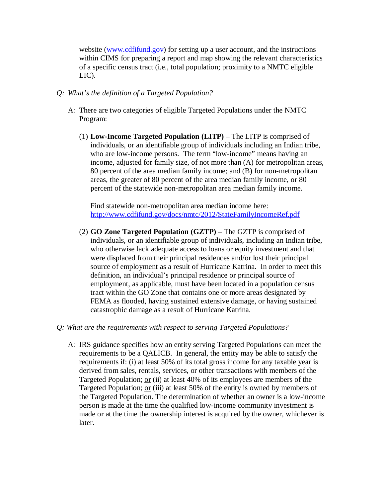website ([www.cdfifund.gov](http://www.cdfifund.gov)) for setting up a user account, and the instructions within CIMS for preparing a report and map showing the relevant characteristics of a specific census tract (i.e., total population; proximity to a NMTC eligible LIC).

#### *Q: What's the definition of a Targeted Population?*

- A: There are two categories of eligible Targeted Populations under the NMTC Program:
	- (1) **Low-Income Targeted Population (LITP)** The LITP is comprised of individuals, or an identifiable group of individuals including an Indian tribe, who are low-income persons. The term "low-income" means having an income, adjusted for family size, of not more than (A) for metropolitan areas, 80 percent of the area median family income; and (B) for non-metropolitan areas, the greater of 80 percent of the area median family income, or 80 percent of the statewide non-metropolitan area median family income.

Find statewide non-metropolitan area median income here: <http://www.cdfifund.gov/docs/nmtc/2012/StateFamilyIncomeRef.pdf>

- (2) **GO Zone Targeted Population (GZTP)**  The GZTP is comprised of individuals, or an identifiable group of individuals, including an Indian tribe, who otherwise lack adequate access to loans or equity investment and that were displaced from their principal residences and/or lost their principal source of employment as a result of Hurricane Katrina. In order to meet this definition, an individual's principal residence or principal source of employment, as applicable, must have been located in a population census tract within the GO Zone that contains one or more areas designated by FEMA as flooded, having sustained extensive damage, or having sustained catastrophic damage as a result of Hurricane Katrina.
- *Q: What are the requirements with respect to serving Targeted Populations?*
	- A: IRS guidance specifies how an entity serving Targeted Populations can meet the requirements to be a QALICB. In general, the entity may be able to satisfy the requirements if: (i) at least 50% of its total gross income for any taxable year is derived from sales, rentals, services, or other transactions with members of the Targeted Population; or (ii) at least 40% of its employees are members of the Targeted Population; or (iii) at least 50% of the entity is owned by members of the Targeted Population. The determination of whether an owner is a low-income person is made at the time the qualified low-income community investment is made or at the time the ownership interest is acquired by the owner, whichever is later.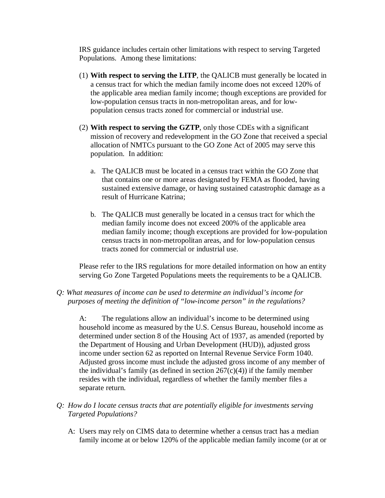IRS guidance includes certain other limitations with respect to serving Targeted Populations. Among these limitations:

- (1) **With respect to serving the LITP**, the QALICB must generally be located in a census tract for which the median family income does not exceed 120% of the applicable area median family income; though exceptions are provided for low-population census tracts in non-metropolitan areas, and for lowpopulation census tracts zoned for commercial or industrial use.
- (2) **With respect to serving the GZTP**, only those CDEs with a significant mission of recovery and redevelopment in the GO Zone that received a special allocation of NMTCs pursuant to the GO Zone Act of 2005 may serve this population. In addition:
	- a. The QALICB must be located in a census tract within the GO Zone that that contains one or more areas designated by FEMA as flooded, having sustained extensive damage, or having sustained catastrophic damage as a result of Hurricane Katrina;
	- b. The QALICB must generally be located in a census tract for which the median family income does not exceed 200% of the applicable area median family income; though exceptions are provided for low-population census tracts in non-metropolitan areas, and for low-population census tracts zoned for commercial or industrial use.

Please refer to the IRS regulations for more detailed information on how an entity serving Go Zone Targeted Populations meets the requirements to be a QALICB.

#### *Q: What measures of income can be used to determine an individual's income for purposes of meeting the definition of "low-income person" in the regulations?*

A: The regulations allow an individual's income to be determined using household income as measured by the U.S. Census Bureau, household income as determined under section 8 of the Housing Act of 1937, as amended (reported by the Department of Housing and Urban Development (HUD)), adjusted gross income under section 62 as reported on Internal Revenue Service Form 1040. Adjusted gross income must include the adjusted gross income of any member of the individual's family (as defined in section  $267(c)(4)$ ) if the family member resides with the individual, regardless of whether the family member files a separate return.

- *Q: How do I locate census tracts that are potentially eligible for investments serving Targeted Populations?* 
	- A: Users may rely on CIMS data to determine whether a census tract has a median family income at or below 120% of the applicable median family income (or at or